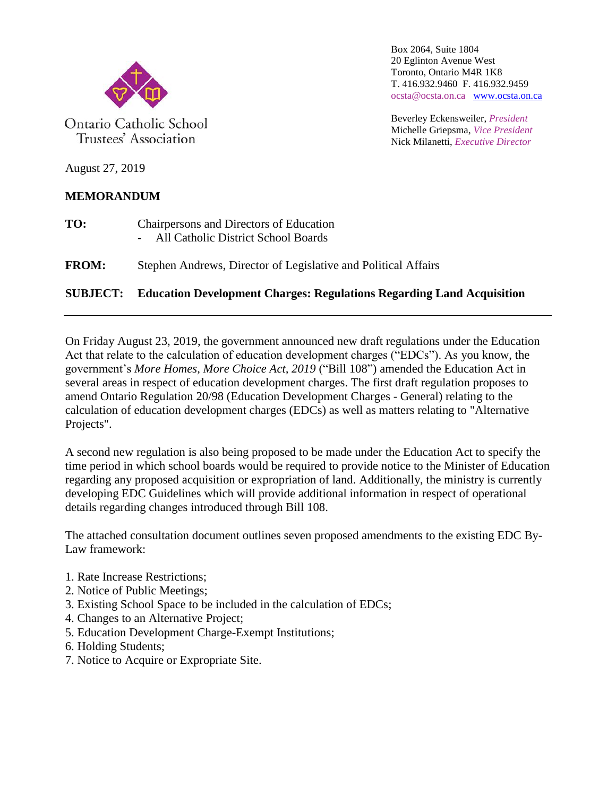

Ontario Catholic School Trustees' Association

Box 2064, Suite 1804 20 Eglinton Avenue West Toronto, Ontario M4R 1K8 T. 416.932.9460 F. 416.932.9459 ocsta@ocsta.on.ca [www.ocsta.on.ca](http://www.ocsta.on.ca/)

Beverley Eckensweiler, *President* Michelle Griepsma, *Vice President* Nick Milanetti, *Executive Director*

August 27, 2019

# **MEMORANDUM**

- **TO:** Chairpersons and Directors of Education - All Catholic District School Boards
- **FROM:** Stephen Andrews, Director of Legislative and Political Affairs

# **SUBJECT: Education Development Charges: Regulations Regarding Land Acquisition**

On Friday August 23, 2019, the government announced new draft regulations under the Education Act that relate to the calculation of education development charges ("EDCs"). As you know, the government's *More Homes, More Choice Act, 2019* ("Bill 108") amended the Education Act in several areas in respect of education development charges. The first draft regulation proposes to amend Ontario Regulation 20/98 (Education Development Charges - General) relating to the calculation of education development charges (EDCs) as well as matters relating to "Alternative Projects".

A second new regulation is also being proposed to be made under the Education Act to specify the time period in which school boards would be required to provide notice to the Minister of Education regarding any proposed acquisition or expropriation of land. Additionally, the ministry is currently developing EDC Guidelines which will provide additional information in respect of operational details regarding changes introduced through Bill 108.

The attached consultation document outlines seven proposed amendments to the existing EDC By-Law framework:

- 1. Rate Increase Restrictions;
- 2. Notice of Public Meetings;
- 3. Existing School Space to be included in the calculation of EDCs;
- 4. Changes to an Alternative Project;
- 5. Education Development Charge-Exempt Institutions;
- 6. Holding Students;
- 7. Notice to Acquire or Expropriate Site.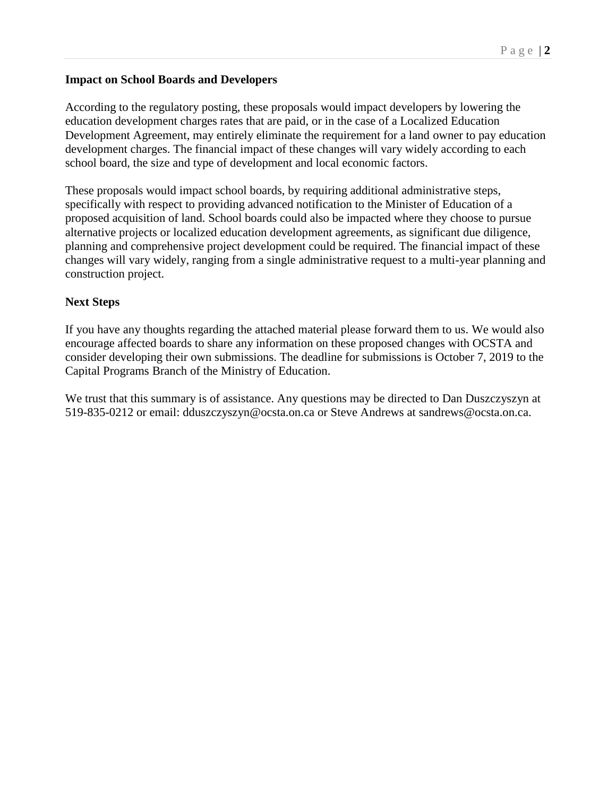### **Impact on School Boards and Developers**

According to the regulatory posting, these proposals would impact developers by lowering the education development charges rates that are paid, or in the case of a Localized Education Development Agreement, may entirely eliminate the requirement for a land owner to pay education development charges. The financial impact of these changes will vary widely according to each school board, the size and type of development and local economic factors.

These proposals would impact school boards, by requiring additional administrative steps, specifically with respect to providing advanced notification to the Minister of Education of a proposed acquisition of land. School boards could also be impacted where they choose to pursue alternative projects or localized education development agreements, as significant due diligence, planning and comprehensive project development could be required. The financial impact of these changes will vary widely, ranging from a single administrative request to a multi-year planning and construction project.

## **Next Steps**

If you have any thoughts regarding the attached material please forward them to us. We would also encourage affected boards to share any information on these proposed changes with OCSTA and consider developing their own submissions. The deadline for submissions is October 7, 2019 to the Capital Programs Branch of the Ministry of Education.

We trust that this summary is of assistance. Any questions may be directed to Dan Duszczyszyn at 519-835-0212 or email: dduszczyszyn@ocsta.on.ca or Steve Andrews at [sandrews@ocsta.on.ca.](mailto:sandrews@ocsta.on.ca)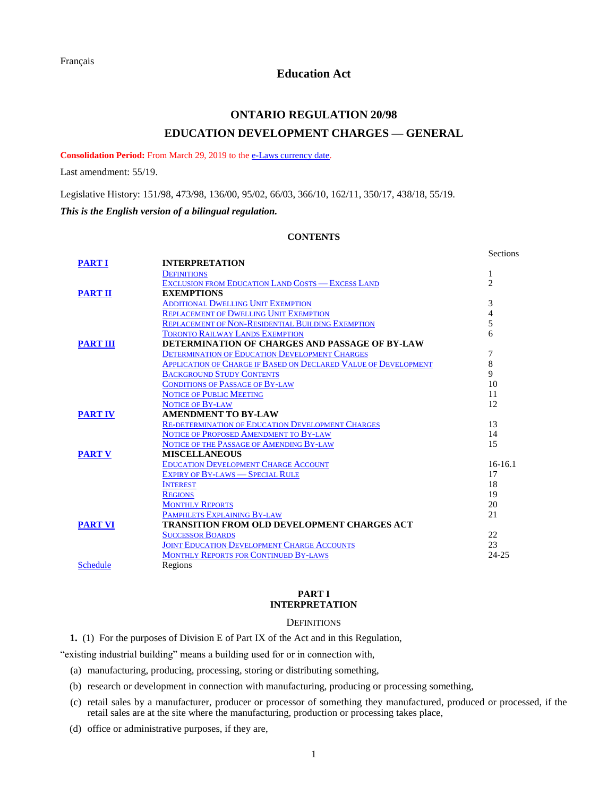### **Education Act**

# **ONTARIO REGULATION 20/98 EDUCATION DEVELOPMENT CHARGES — GENERAL**

<span id="page-2-2"></span>**Consolidation Period:** From March 29, 2019 to the [e-Laws currency date.](http://www.e-laws.gov.on.ca/navigation?file=currencyDates&lang=en)

Last amendment: [55/19.](https://www.ontario.ca/laws/regulation/R19055)

Legislative History: 151/98, 473/98, [136/00,](https://www.ontario.ca/laws/regulation/R00136) [95/02,](https://www.ontario.ca/laws/regulation/R02095) [66/03,](https://www.ontario.ca/laws/regulation/R03066) [366/10,](https://www.ontario.ca/laws/regulation/R10366) [162/11,](https://www.ontario.ca/laws/regulation/R11162) [350/17,](https://www.ontario.ca/laws/regulation/R17350) [438/18,](https://www.ontario.ca/laws/regulation/R18438) [55/19.](https://www.ontario.ca/laws/regulation/R19055) *This is the English version of a bilingual regulation.*

### **CONTENTS**

|                 |                                                                        | Sections       |
|-----------------|------------------------------------------------------------------------|----------------|
| <b>PART I</b>   | <b>INTERPRETATION</b>                                                  |                |
|                 | <b>DEFINITIONS</b>                                                     | 1              |
|                 | <b>EXCLUSION FROM EDUCATION LAND COSTS - EXCESS LAND</b>               | $\overline{c}$ |
| <b>PART II</b>  | <b>EXEMPTIONS</b>                                                      |                |
|                 | <b>ADDITIONAL DWELLING UNIT EXEMPTION</b>                              | 3              |
|                 | <b>REPLACEMENT OF DWELLING UNIT EXEMPTION</b>                          | 4              |
|                 | <b>REPLACEMENT OF NON-RESIDENTIAL BUILDING EXEMPTION</b>               | 5              |
|                 | <b>TORONTO RAILWAY LANDS EXEMPTION</b>                                 | 6              |
| <b>PART III</b> | DETERMINATION OF CHARGES AND PASSAGE OF BY-LAW                         |                |
|                 | <b>DETERMINATION OF EDUCATION DEVELOPMENT CHARGES</b>                  | 7              |
|                 | <b>APPLICATION OF CHARGE IF BASED ON DECLARED VALUE OF DEVELOPMENT</b> | 8              |
|                 | <b>BACKGROUND STUDY CONTENTS</b>                                       | $\mathbf Q$    |
|                 | <b>CONDITIONS OF PASSAGE OF BY-LAW</b>                                 | 10             |
|                 | <b>NOTICE OF PUBLIC MEETING</b>                                        | 11             |
|                 | <b>NOTICE OF BY-LAW</b>                                                | 12             |
| <b>PART IV</b>  | <b>AMENDMENT TO BY-LAW</b>                                             |                |
|                 | RE-DETERMINATION OF EDUCATION DEVELOPMENT CHARGES                      | 13             |
|                 | NOTICE OF PROPOSED AMENDMENT TO BY-LAW                                 | 14             |
|                 | NOTICE OF THE PASSAGE OF AMENDING BY-LAW                               | 15             |
| <b>PART V</b>   | <b>MISCELLANEOUS</b>                                                   |                |
|                 | <b>EDUCATION DEVELOPMENT CHARGE ACCOUNT</b>                            | $16-16.1$      |
|                 | <b>EXPIRY OF BY-LAWS - SPECIAL RULE</b>                                | 17             |
|                 | <b>INTEREST</b>                                                        | 18             |
|                 | <b>REGIONS</b>                                                         | 19             |
|                 | <b>MONTHLY REPORTS</b>                                                 | 20             |
|                 | <b>PAMPHLETS EXPLAINING BY-LAW</b>                                     | 21             |
| <b>PART VI</b>  | TRANSITION FROM OLD DEVELOPMENT CHARGES ACT                            |                |
|                 | <b>SUCCESSOR BOARDS</b>                                                | 22             |
|                 | <b>JOINT EDUCATION DEVELOPMENT CHARGE ACCOUNTS</b>                     | 23             |
|                 | <b>MONTHLY REPORTS FOR CONTINUED BY-LAWS</b>                           | $24 - 25$      |
| <b>Schedule</b> | Regions                                                                |                |

#### **PART I INTERPRETATION**

#### **DEFINITIONS**

<span id="page-2-1"></span><span id="page-2-0"></span>**1.** (1)For the purposes of Division E of Part IX of the Act and in this Regulation,

"existing industrial building" means a building used for or in connection with,

(a) manufacturing, producing, processing, storing or distributing something,

- (b) research or development in connection with manufacturing, producing or processing something,
- (c) retail sales by a manufacturer, producer or processor of something they manufactured, produced or processed, if the retail sales are at the site where the manufacturing, production or processing takes place,

(d) office or administrative purposes, if they are,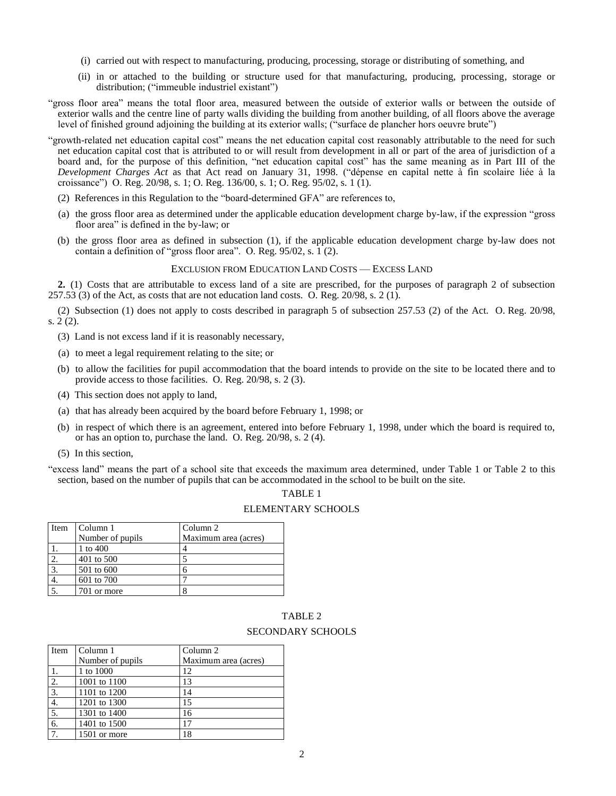- (i) carried out with respect to manufacturing, producing, processing, storage or distributing of something, and
- (ii) in or attached to the building or structure used for that manufacturing, producing, processing, storage or distribution; ("immeuble industriel existant")
- "gross floor area" means the total floor area, measured between the outside of exterior walls or between the outside of exterior walls and the centre line of party walls dividing the building from another building, of all floors above the average level of finished ground adjoining the building at its exterior walls; ("surface de plancher hors oeuvre brute")
- "growth-related net education capital cost" means the net education capital cost reasonably attributable to the need for such net education capital cost that is attributed to or will result from development in all or part of the area of jurisdiction of a board and, for the purpose of this definition, "net education capital cost" has the same meaning as in Part III of the *Development Charges Act* as that Act read on January 31, 1998. ("dépense en capital nette à fin scolaire liée à la croissance") O. Reg. 20/98, s. 1; O. Reg. 136/00, s. 1; O. Reg. 95/02, s. 1 (1).
	- (2) References in this Regulation to the "board-determined GFA" are references to,
	- (a) the gross floor area as determined under the applicable education development charge by-law, if the expression "gross floor area" is defined in the by-law; or
	- (b) the gross floor area as defined in subsection (1), if the applicable education development charge by-law does not contain a definition of "gross floor area". O. Reg. 95/02, s. 1 (2).

#### EXCLUSION FROM EDUCATION LAND COSTS — EXCESS LAND

<span id="page-3-0"></span>**2.** (1) Costs that are attributable to excess land of a site are prescribed, for the purposes of paragraph 2 of subsection 257.53 (3) of the Act, as costs that are not education land costs. O. Reg. 20/98, s. 2 (1).

(2) Subsection (1) does not apply to costs described in paragraph 5 of subsection 257.53 (2) of the Act. O. Reg. 20/98, s. 2 (2).

(3) Land is not excess land if it is reasonably necessary,

- (a) to meet a legal requirement relating to the site; or
- (b) to allow the facilities for pupil accommodation that the board intends to provide on the site to be located there and to provide access to those facilities. O. Reg. 20/98, s. 2 (3).
- (4) This section does not apply to land,
- (a) that has already been acquired by the board before February 1, 1998; or
- (b) in respect of which there is an agreement, entered into before February 1, 1998, under which the board is required to, or has an option to, purchase the land. O. Reg. 20/98, s. 2 (4).
- (5) In this section,
- "excess land" means the part of a school site that exceeds the maximum area determined, under Table 1 or Table 2 to this section, based on the number of pupils that can be accommodated in the school to be built on the site.

#### TABLE 1

#### ELEMENTARY SCHOOLS

| Item             | Column 1         | Column 2             |
|------------------|------------------|----------------------|
|                  | Number of pupils | Maximum area (acres) |
|                  | 1 to 400         |                      |
| 2.               | 401 to 500       |                      |
| $\overline{3}$ . | 501 to 600       |                      |
|                  | 601 to 700       |                      |
|                  | 701 or more      |                      |

### TABLE 2 SECONDARY SCHOOLS

| Item             | Column 1         | Column <sub>2</sub>  |
|------------------|------------------|----------------------|
|                  | Number of pupils | Maximum area (acres) |
|                  | 1 to 1000        | 12                   |
| 2.               | 1001 to 1100     | 13                   |
| 3.               | 1101 to 1200     | 14                   |
| 4.               | 1201 to 1300     | 15                   |
| 5.               | 1301 to 1400     | 16                   |
| $\overline{6}$ . | 1401 to 1500     | 17                   |
|                  | 1501 or more     | 18                   |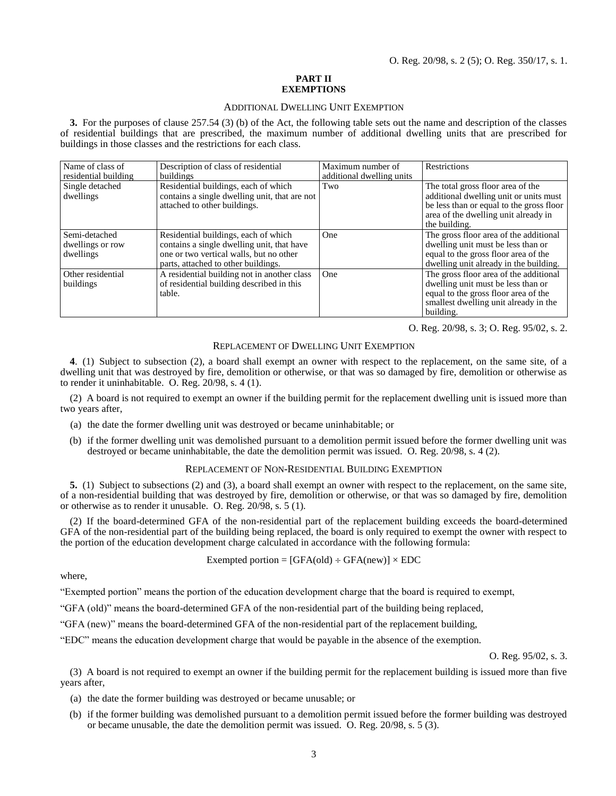#### **PART II EXEMPTIONS**

#### ADDITIONAL DWELLING UNIT EXEMPTION

<span id="page-4-1"></span><span id="page-4-0"></span>**3.** For the purposes of clause 257.54 (3) (b) of the Act, the following table sets out the name and description of the classes of residential buildings that are prescribed, the maximum number of additional dwelling units that are prescribed for buildings in those classes and the restrictions for each class.

| Name of class of<br>residential building       | Description of class of residential<br>buildings                                                                                                                     | Maximum number of<br>additional dwelling units | <b>Restrictions</b>                                                                                                                                                              |
|------------------------------------------------|----------------------------------------------------------------------------------------------------------------------------------------------------------------------|------------------------------------------------|----------------------------------------------------------------------------------------------------------------------------------------------------------------------------------|
| Single detached<br>dwellings                   | Residential buildings, each of which<br>contains a single dwelling unit, that are not<br>attached to other buildings.                                                | Two                                            | The total gross floor area of the<br>additional dwelling unit or units must<br>be less than or equal to the gross floor<br>area of the dwelling unit already in<br>the building. |
| Semi-detached<br>dwellings or row<br>dwellings | Residential buildings, each of which<br>contains a single dwelling unit, that have<br>one or two vertical walls, but no other<br>parts, attached to other buildings. | <b>One</b>                                     | The gross floor area of the additional<br>dwelling unit must be less than or<br>equal to the gross floor area of the<br>dwelling unit already in the building.                   |
| Other residential<br>buildings                 | A residential building not in another class<br>of residential building described in this<br>table.                                                                   | One                                            | The gross floor area of the additional<br>dwelling unit must be less than or<br>equal to the gross floor area of the<br>smallest dwelling unit already in the<br>building.       |

O. Reg. 20/98, s. 3; O. Reg. 95/02, s. 2.

#### REPLACEMENT OF DWELLING UNIT EXEMPTION

<span id="page-4-2"></span>**4**. (1) Subject to subsection (2), a board shall exempt an owner with respect to the replacement, on the same site, of a dwelling unit that was destroyed by fire, demolition or otherwise, or that was so damaged by fire, demolition or otherwise as to render it uninhabitable. O. Reg. 20/98, s. 4 (1).

(2) A board is not required to exempt an owner if the building permit for the replacement dwelling unit is issued more than two years after,

- (a) the date the former dwelling unit was destroyed or became uninhabitable; or
- <span id="page-4-3"></span>(b) if the former dwelling unit was demolished pursuant to a demolition permit issued before the former dwelling unit was destroyed or became uninhabitable, the date the demolition permit was issued. O. Reg. 20/98, s. 4 (2).

#### REPLACEMENT OF NON-RESIDENTIAL BUILDING EXEMPTION

**5.** (1) Subject to subsections (2) and (3), a board shall exempt an owner with respect to the replacement, on the same site, of a non-residential building that was destroyed by fire, demolition or otherwise, or that was so damaged by fire, demolition or otherwise as to render it unusable. O. Reg. 20/98, s. 5 (1).

(2) If the board-determined GFA of the non-residential part of the replacement building exceeds the board-determined GFA of the non-residential part of the building being replaced, the board is only required to exempt the owner with respect to the portion of the education development charge calculated in accordance with the following formula:

Exempted portion =  $[GFA(old) \div GFA(new)] \times EDC$ 

where,

"Exempted portion" means the portion of the education development charge that the board is required to exempt,

"GFA (old)" means the board-determined GFA of the non-residential part of the building being replaced,

"GFA (new)" means the board-determined GFA of the non-residential part of the replacement building,

"EDC" means the education development charge that would be payable in the absence of the exemption.

O. Reg. 95/02, s. 3.

(3) A board is not required to exempt an owner if the building permit for the replacement building is issued more than five years after,

(a) the date the former building was destroyed or became unusable; or

(b) if the former building was demolished pursuant to a demolition permit issued before the former building was destroyed or became unusable, the date the demolition permit was issued. O. Reg. 20/98, s. 5 (3).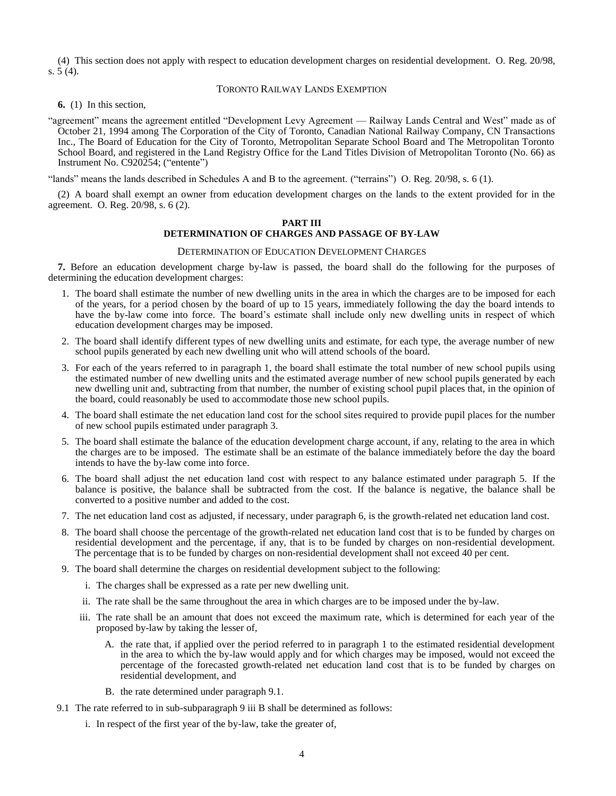<span id="page-5-0"></span>(4) This section does not apply with respect to education development charges on residential development. O. Reg. 20/98, s. 5 (4).

### TORONTO RAILWAY LANDS EXEMPTION

**6.** (1) In this section,

"agreement" means the agreement entitled "Development Levy Agreement — Railway Lands Central and West" made as of October 21, 1994 among The Corporation of the City of Toronto, Canadian National Railway Company, CN Transactions Inc., The Board of Education for the City of Toronto, Metropolitan Separate School Board and The Metropolitan Toronto School Board, and registered in the Land Registry Office for the Land Titles Division of Metropolitan Toronto (No. 66) as Instrument No. C920254; ("entente")

"lands" means the lands described in Schedules A and B to the agreement. ("terrains") O. Reg. 20/98, s. 6 (1).

<span id="page-5-1"></span>(2) A board shall exempt an owner from education development charges on the lands to the extent provided for in the agreement. O. Reg. 20/98, s. 6 (2).

#### **PART III**

### **DETERMINATION OF CHARGES AND PASSAGE OF BY-LAW**

#### DETERMINATION OF EDUCATION DEVELOPMENT CHARGES

<span id="page-5-2"></span>**7.** Before an education development charge by-law is passed, the board shall do the following for the purposes of determining the education development charges:

- 1. The board shall estimate the number of new dwelling units in the area in which the charges are to be imposed for each of the years, for a period chosen by the board of up to 15 years, immediately following the day the board intends to have the by-law come into force. The board's estimate shall include only new dwelling units in respect of which education development charges may be imposed.
- 2. The board shall identify different types of new dwelling units and estimate, for each type, the average number of new school pupils generated by each new dwelling unit who will attend schools of the board.
- 3. For each of the years referred to in paragraph 1, the board shall estimate the total number of new school pupils using the estimated number of new dwelling units and the estimated average number of new school pupils generated by each new dwelling unit and, subtracting from that number, the number of existing school pupil places that, in the opinion of the board, could reasonably be used to accommodate those new school pupils.
- 4. The board shall estimate the net education land cost for the school sites required to provide pupil places for the number of new school pupils estimated under paragraph 3.
- 5. The board shall estimate the balance of the education development charge account, if any, relating to the area in which the charges are to be imposed. The estimate shall be an estimate of the balance immediately before the day the board intends to have the by-law come into force.
- 6. The board shall adjust the net education land cost with respect to any balance estimated under paragraph 5. If the balance is positive, the balance shall be subtracted from the cost. If the balance is negative, the balance shall be converted to a positive number and added to the cost.
- 7. The net education land cost as adjusted, if necessary, under paragraph 6, is the growth-related net education land cost.
- 8. The board shall choose the percentage of the growth-related net education land cost that is to be funded by charges on residential development and the percentage, if any, that is to be funded by charges on non-residential development. The percentage that is to be funded by charges on non-residential development shall not exceed 40 per cent.
- 9. The board shall determine the charges on residential development subject to the following:
	- i. The charges shall be expressed as a rate per new dwelling unit.
	- ii. The rate shall be the same throughout the area in which charges are to be imposed under the by-law.
	- iii. The rate shall be an amount that does not exceed the maximum rate, which is determined for each year of the proposed by-law by taking the lesser of,
		- A. the rate that, if applied over the period referred to in paragraph 1 to the estimated residential development in the area to which the by-law would apply and for which charges may be imposed, would not exceed the percentage of the forecasted growth-related net education land cost that is to be funded by charges on residential development, and
		- B. the rate determined under paragraph 9.1.
- 9.1 The rate referred to in sub-subparagraph 9 iii B shall be determined as follows:
	- i. In respect of the first year of the by-law, take the greater of,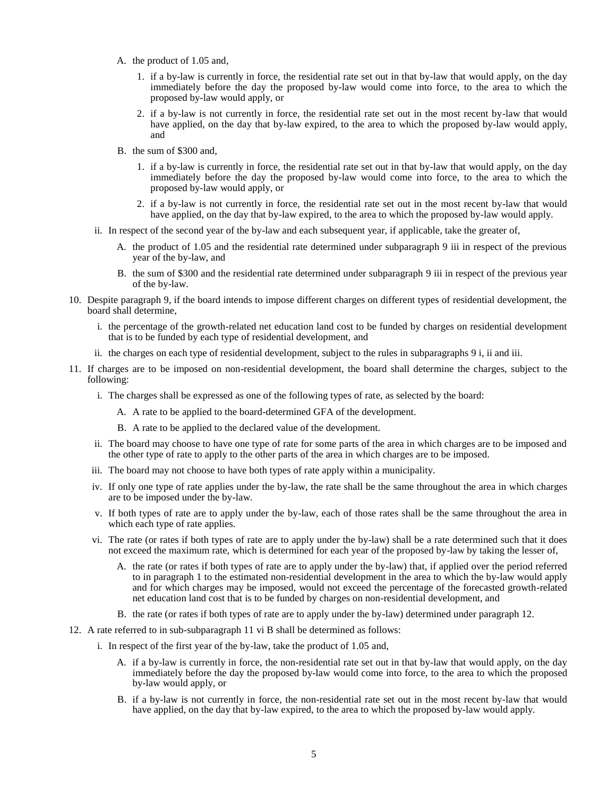- A. the product of 1.05 and,
	- 1. if a by-law is currently in force, the residential rate set out in that by-law that would apply, on the day immediately before the day the proposed by-law would come into force, to the area to which the proposed by-law would apply, or
	- 2. if a by-law is not currently in force, the residential rate set out in the most recent by-law that would have applied, on the day that by-law expired, to the area to which the proposed by-law would apply, and
- B. the sum of \$300 and,
	- 1. if a by-law is currently in force, the residential rate set out in that by-law that would apply, on the day immediately before the day the proposed by-law would come into force, to the area to which the proposed by-law would apply, or
	- 2. if a by-law is not currently in force, the residential rate set out in the most recent by-law that would have applied, on the day that by-law expired, to the area to which the proposed by-law would apply.
- ii. In respect of the second year of the by-law and each subsequent year, if applicable, take the greater of,
	- A. the product of 1.05 and the residential rate determined under subparagraph 9 iii in respect of the previous year of the by-law, and
	- B. the sum of \$300 and the residential rate determined under subparagraph 9 iii in respect of the previous year of the by-law.
- 10. Despite paragraph 9, if the board intends to impose different charges on different types of residential development, the board shall determine,
	- i. the percentage of the growth-related net education land cost to be funded by charges on residential development that is to be funded by each type of residential development, and
	- ii. the charges on each type of residential development, subject to the rules in subparagraphs 9 i, ii and iii.
- 11. If charges are to be imposed on non-residential development, the board shall determine the charges, subject to the following:
	- i. The charges shall be expressed as one of the following types of rate, as selected by the board:
		- A. A rate to be applied to the board-determined GFA of the development.
		- B. A rate to be applied to the declared value of the development.
	- ii. The board may choose to have one type of rate for some parts of the area in which charges are to be imposed and the other type of rate to apply to the other parts of the area in which charges are to be imposed.
	- iii. The board may not choose to have both types of rate apply within a municipality.
	- iv. If only one type of rate applies under the by-law, the rate shall be the same throughout the area in which charges are to be imposed under the by-law.
	- v. If both types of rate are to apply under the by-law, each of those rates shall be the same throughout the area in which each type of rate applies.
	- vi. The rate (or rates if both types of rate are to apply under the by-law) shall be a rate determined such that it does not exceed the maximum rate, which is determined for each year of the proposed by-law by taking the lesser of,
		- A. the rate (or rates if both types of rate are to apply under the by-law) that, if applied over the period referred to in paragraph 1 to the estimated non-residential development in the area to which the by-law would apply and for which charges may be imposed, would not exceed the percentage of the forecasted growth-related net education land cost that is to be funded by charges on non-residential development, and
		- B. the rate (or rates if both types of rate are to apply under the by-law) determined under paragraph 12.
- 12. A rate referred to in sub-subparagraph 11 vi B shall be determined as follows:
	- i. In respect of the first year of the by-law, take the product of 1.05 and,
		- A. if a by-law is currently in force, the non-residential rate set out in that by-law that would apply, on the day immediately before the day the proposed by-law would come into force, to the area to which the proposed by-law would apply, or
		- B. if a by-law is not currently in force, the non-residential rate set out in the most recent by-law that would have applied, on the day that by-law expired, to the area to which the proposed by-law would apply.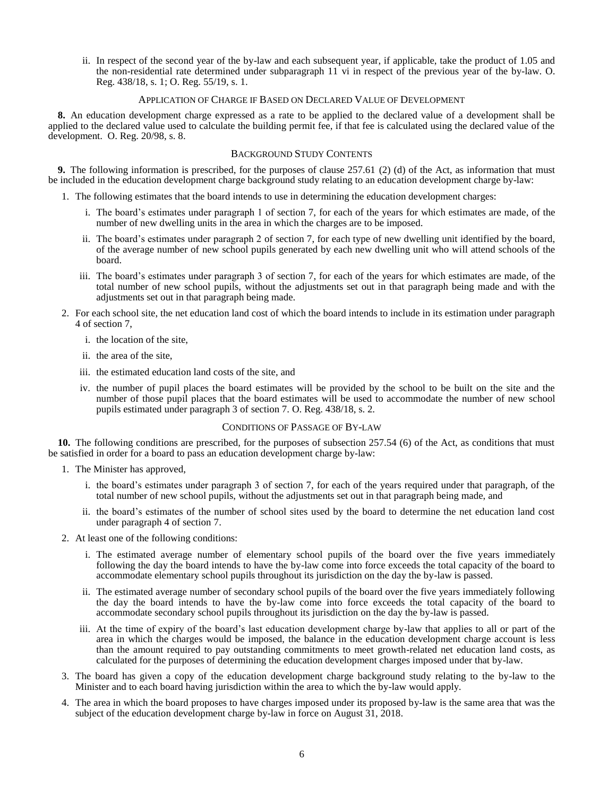ii. In respect of the second year of the by-law and each subsequent year, if applicable, take the product of 1.05 and the non-residential rate determined under subparagraph 11 vi in respect of the previous year of the by-law. O. Reg. 438/18, s. 1; O. Reg. 55/19, s. 1.

#### APPLICATION OF CHARGE IF BASED ON DECLARED VALUE OF DEVELOPMENT

<span id="page-7-0"></span>**8.** An education development charge expressed as a rate to be applied to the declared value of a development shall be applied to the declared value used to calculate the building permit fee, if that fee is calculated using the declared value of the development. O. Reg. 20/98, s. 8.

### BACKGROUND STUDY CONTENTS

<span id="page-7-1"></span>**9.** The following information is prescribed, for the purposes of clause 257.61 (2) (d) of the Act, as information that must be included in the education development charge background study relating to an education development charge by-law:

- 1. The following estimates that the board intends to use in determining the education development charges:
	- i. The board's estimates under paragraph 1 of section 7, for each of the years for which estimates are made, of the number of new dwelling units in the area in which the charges are to be imposed.
	- ii. The board's estimates under paragraph 2 of section 7, for each type of new dwelling unit identified by the board, of the average number of new school pupils generated by each new dwelling unit who will attend schools of the board.
	- iii. The board's estimates under paragraph 3 of section 7, for each of the years for which estimates are made, of the total number of new school pupils, without the adjustments set out in that paragraph being made and with the adjustments set out in that paragraph being made.
- 2. For each school site, the net education land cost of which the board intends to include in its estimation under paragraph 4 of section 7,
	- i. the location of the site,
	- ii. the area of the site,
	- iii. the estimated education land costs of the site, and
	- iv. the number of pupil places the board estimates will be provided by the school to be built on the site and the number of those pupil places that the board estimates will be used to accommodate the number of new school pupils estimated under paragraph 3 of section 7. O. Reg. 438/18, s. 2.

#### CONDITIONS OF PASSAGE OF BY-LAW

<span id="page-7-2"></span>**10.** The following conditions are prescribed, for the purposes of subsection 257.54 (6) of the Act, as conditions that must be satisfied in order for a board to pass an education development charge by-law:

- 1. The Minister has approved,
	- i. the board's estimates under paragraph 3 of section 7, for each of the years required under that paragraph, of the total number of new school pupils, without the adjustments set out in that paragraph being made, and
	- ii. the board's estimates of the number of school sites used by the board to determine the net education land cost under paragraph 4 of section 7.
- 2. At least one of the following conditions:
	- i. The estimated average number of elementary school pupils of the board over the five years immediately following the day the board intends to have the by-law come into force exceeds the total capacity of the board to accommodate elementary school pupils throughout its jurisdiction on the day the by-law is passed.
	- ii. The estimated average number of secondary school pupils of the board over the five years immediately following the day the board intends to have the by-law come into force exceeds the total capacity of the board to accommodate secondary school pupils throughout its jurisdiction on the day the by-law is passed.
	- iii. At the time of expiry of the board's last education development charge by-law that applies to all or part of the area in which the charges would be imposed, the balance in the education development charge account is less than the amount required to pay outstanding commitments to meet growth-related net education land costs, as calculated for the purposes of determining the education development charges imposed under that by-law.
- 3. The board has given a copy of the education development charge background study relating to the by-law to the Minister and to each board having jurisdiction within the area to which the by-law would apply.
- 4. The area in which the board proposes to have charges imposed under its proposed by-law is the same area that was the subject of the education development charge by-law in force on August 31, 2018.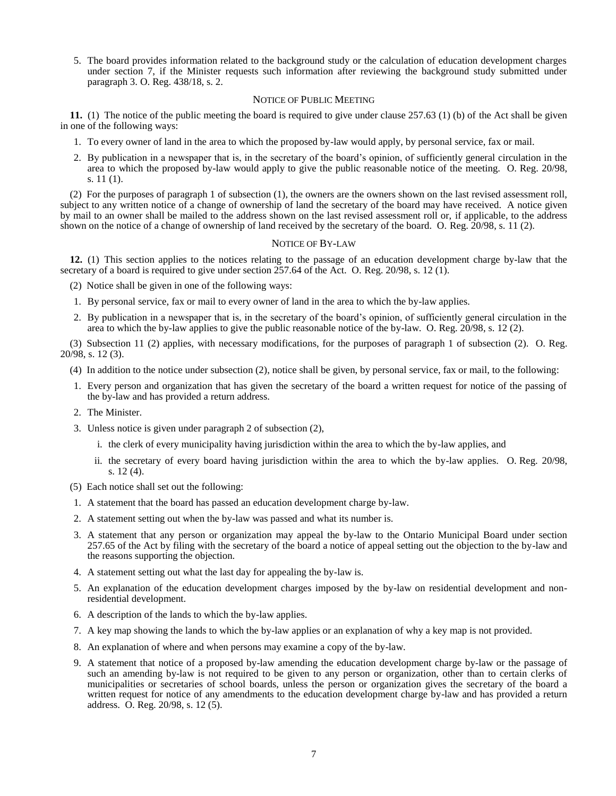5. The board provides information related to the background study or the calculation of education development charges under section 7, if the Minister requests such information after reviewing the background study submitted under paragraph 3. O. Reg. 438/18, s. 2.

### NOTICE OF PUBLIC MEETING

<span id="page-8-0"></span>**11.** (1) The notice of the public meeting the board is required to give under clause 257.63 (1) (b) of the Act shall be given in one of the following ways:

- 1. To every owner of land in the area to which the proposed by-law would apply, by personal service, fax or mail.
- 2. By publication in a newspaper that is, in the secretary of the board's opinion, of sufficiently general circulation in the area to which the proposed by-law would apply to give the public reasonable notice of the meeting. O. Reg. 20/98, s. 11 (1).

(2) For the purposes of paragraph 1 of subsection (1), the owners are the owners shown on the last revised assessment roll, subject to any written notice of a change of ownership of land the secretary of the board may have received. A notice given by mail to an owner shall be mailed to the address shown on the last revised assessment roll or, if applicable, to the address shown on the notice of a change of ownership of land received by the secretary of the board. O. Reg. 20/98, s. 11 (2).

### NOTICE OF BY-LAW

<span id="page-8-1"></span>**12.** (1) This section applies to the notices relating to the passage of an education development charge by-law that the secretary of a board is required to give under section 257.64 of the Act. O. Reg. 20/98, s. 12 (1).

(2) Notice shall be given in one of the following ways:

- 1. By personal service, fax or mail to every owner of land in the area to which the by-law applies.
- 2. By publication in a newspaper that is, in the secretary of the board's opinion, of sufficiently general circulation in the area to which the by-law applies to give the public reasonable notice of the by-law. O. Reg. 20/98, s. 12 (2).

(3) Subsection 11 (2) applies, with necessary modifications, for the purposes of paragraph 1 of subsection (2). O. Reg. 20/98, s. 12 (3).

- (4) In addition to the notice under subsection (2), notice shall be given, by personal service, fax or mail, to the following:
- 1. Every person and organization that has given the secretary of the board a written request for notice of the passing of the by-law and has provided a return address.
- 2. The Minister.
- 3. Unless notice is given under paragraph 2 of subsection (2),
	- i. the clerk of every municipality having jurisdiction within the area to which the by-law applies, and
	- ii. the secretary of every board having jurisdiction within the area to which the by-law applies. O. Reg. 20/98, s. 12 (4).
- (5) Each notice shall set out the following:
- 1. A statement that the board has passed an education development charge by-law.
- 2. A statement setting out when the by-law was passed and what its number is.
- 3. A statement that any person or organization may appeal the by-law to the Ontario Municipal Board under section 257.65 of the Act by filing with the secretary of the board a notice of appeal setting out the objection to the by-law and the reasons supporting the objection.
- 4. A statement setting out what the last day for appealing the by-law is.
- 5. An explanation of the education development charges imposed by the by-law on residential development and nonresidential development.
- 6. A description of the lands to which the by-law applies.
- 7. A key map showing the lands to which the by-law applies or an explanation of why a key map is not provided.
- 8. An explanation of where and when persons may examine a copy of the by-law.
- 9. A statement that notice of a proposed by-law amending the education development charge by-law or the passage of such an amending by-law is not required to be given to any person or organization, other than to certain clerks of municipalities or secretaries of school boards, unless the person or organization gives the secretary of the board a written request for notice of any amendments to the education development charge by-law and has provided a return address. O. Reg. 20/98, s. 12 (5).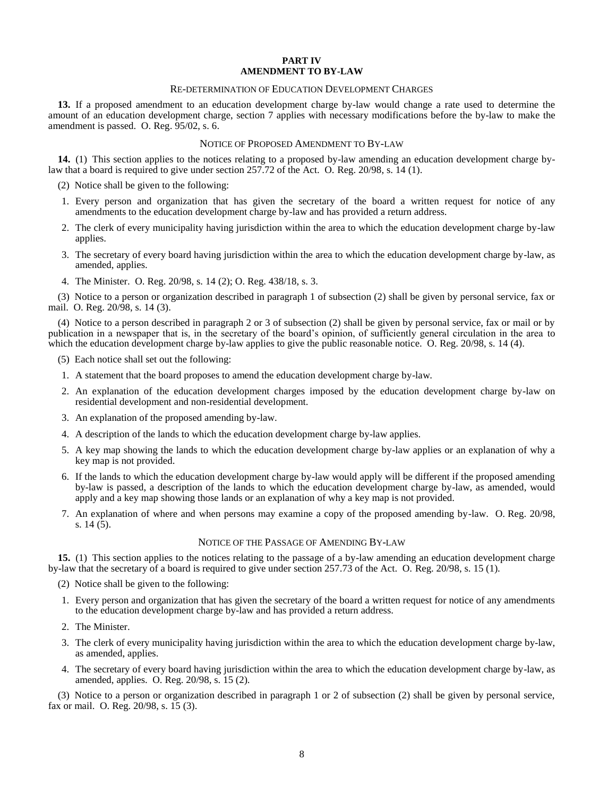### **PART IV AMENDMENT TO BY-LAW**

#### RE-DETERMINATION OF EDUCATION DEVELOPMENT CHARGES

<span id="page-9-1"></span><span id="page-9-0"></span>**13.** If a proposed amendment to an education development charge by-law would change a rate used to determine the amount of an education development charge, section 7 applies with necessary modifications before the by-law to make the amendment is passed. O. Reg. 95/02, s. 6.

#### NOTICE OF PROPOSED AMENDMENT TO BY-LAW

<span id="page-9-2"></span>**14.** (1) This section applies to the notices relating to a proposed by-law amending an education development charge bylaw that a board is required to give under section 257.72 of the Act. O. Reg. 20/98, s. 14 (1).

- (2) Notice shall be given to the following:
- 1. Every person and organization that has given the secretary of the board a written request for notice of any amendments to the education development charge by-law and has provided a return address.
- 2. The clerk of every municipality having jurisdiction within the area to which the education development charge by-law applies.
- 3. The secretary of every board having jurisdiction within the area to which the education development charge by-law, as amended, applies.
- 4. The Minister. O. Reg. 20/98, s. 14 (2); O. Reg. 438/18, s. 3.

(3) Notice to a person or organization described in paragraph 1 of subsection (2) shall be given by personal service, fax or mail. O. Reg. 20/98, s. 14 (3).

(4) Notice to a person described in paragraph 2 or 3 of subsection (2) shall be given by personal service, fax or mail or by publication in a newspaper that is, in the secretary of the board's opinion, of sufficiently general circulation in the area to which the education development charge by-law applies to give the public reasonable notice. O. Reg. 20/98, s. 14 (4).

- (5) Each notice shall set out the following:
- 1. A statement that the board proposes to amend the education development charge by-law.
- 2. An explanation of the education development charges imposed by the education development charge by-law on residential development and non-residential development.
- 3. An explanation of the proposed amending by-law.
- 4. A description of the lands to which the education development charge by-law applies.
- 5. A key map showing the lands to which the education development charge by-law applies or an explanation of why a key map is not provided.
- 6. If the lands to which the education development charge by-law would apply will be different if the proposed amending by-law is passed, a description of the lands to which the education development charge by-law, as amended, would apply and a key map showing those lands or an explanation of why a key map is not provided.
- 7. An explanation of where and when persons may examine a copy of the proposed amending by-law. O. Reg. 20/98, s. 14 (5).

#### NOTICE OF THE PASSAGE OF AMENDING BY-LAW

<span id="page-9-3"></span>**15.** (1) This section applies to the notices relating to the passage of a by-law amending an education development charge by-law that the secretary of a board is required to give under section 257.73 of the Act. O. Reg. 20/98, s. 15 (1).

- (2) Notice shall be given to the following:
- 1. Every person and organization that has given the secretary of the board a written request for notice of any amendments to the education development charge by-law and has provided a return address.
- 2. The Minister.
- 3. The clerk of every municipality having jurisdiction within the area to which the education development charge by-law, as amended, applies.
- 4. The secretary of every board having jurisdiction within the area to which the education development charge by-law, as amended, applies. O. Reg. 20/98, s. 15 (2).

(3) Notice to a person or organization described in paragraph 1 or 2 of subsection (2) shall be given by personal service, fax or mail. O. Reg. 20/98, s. 15 (3).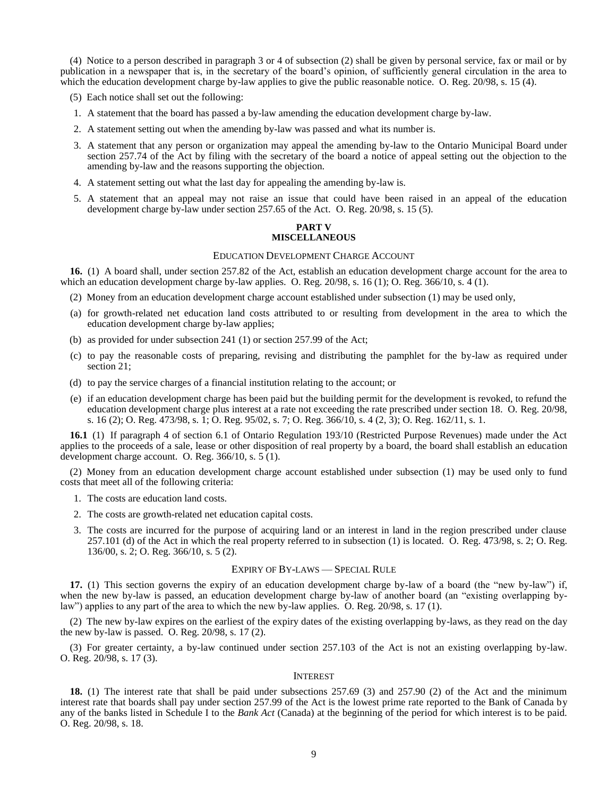(4) Notice to a person described in paragraph 3 or 4 of subsection (2) shall be given by personal service, fax or mail or by publication in a newspaper that is, in the secretary of the board's opinion, of sufficiently general circulation in the area to which the education development charge by-law applies to give the public reasonable notice. O. Reg. 20/98, s. 15 (4).

- (5) Each notice shall set out the following:
- 1. A statement that the board has passed a by-law amending the education development charge by-law.
- 2. A statement setting out when the amending by-law was passed and what its number is.
- 3. A statement that any person or organization may appeal the amending by-law to the Ontario Municipal Board under section 257.74 of the Act by filing with the secretary of the board a notice of appeal setting out the objection to the amending by-law and the reasons supporting the objection.
- 4. A statement setting out what the last day for appealing the amending by-law is.
- <span id="page-10-0"></span>5. A statement that an appeal may not raise an issue that could have been raised in an appeal of the education development charge by-law under section 257.65 of the Act. O. Reg. 20/98, s. 15 (5).

### **PART V MISCELLANEOUS**

#### EDUCATION DEVELOPMENT CHARGE ACCOUNT

<span id="page-10-1"></span>**16.** (1) A board shall, under section 257.82 of the Act, establish an education development charge account for the area to which an education development charge by-law applies. O. Reg. 20/98, s. 16 (1); O. Reg. 366/10, s. 4 (1).

- (2) Money from an education development charge account established under subsection (1) may be used only,
- (a) for growth-related net education land costs attributed to or resulting from development in the area to which the education development charge by-law applies;
- (b) as provided for under subsection 241 (1) or section 257.99 of the Act;
- (c) to pay the reasonable costs of preparing, revising and distributing the pamphlet for the by-law as required under section 21;
- (d) to pay the service charges of a financial institution relating to the account; or
- (e) if an education development charge has been paid but the building permit for the development is revoked, to refund the education development charge plus interest at a rate not exceeding the rate prescribed under section 18. O. Reg. 20/98, s. 16 (2); O. Reg. 473/98, s. 1; O. Reg. 95/02, s. 7; O. Reg. 366/10, s. 4 (2, 3); O. Reg. 162/11, s. 1.

**16.1** (1) If paragraph 4 of section 6.1 of Ontario Regulation 193/10 (Restricted Purpose Revenues) made under the Act applies to the proceeds of a sale, lease or other disposition of real property by a board, the board shall establish an education development charge account. O. Reg. 366/10, s. 5 (1).

(2) Money from an education development charge account established under subsection (1) may be used only to fund costs that meet all of the following criteria:

- 1. The costs are education land costs.
- 2. The costs are growth-related net education capital costs.
- 3. The costs are incurred for the purpose of acquiring land or an interest in land in the region prescribed under clause 257.101 (d) of the Act in which the real property referred to in subsection (1) is located. O. Reg. 473/98, s. 2; O. Reg. 136/00, s. 2; O. Reg. 366/10, s. 5 (2).

#### EXPIRY OF BY-LAWS — SPECIAL RULE

<span id="page-10-2"></span>**17.** (1) This section governs the expiry of an education development charge by-law of a board (the "new by-law") if, when the new by-law is passed, an education development charge by-law of another board (an "existing overlapping bylaw") applies to any part of the area to which the new by-law applies. O. Reg. 20/98, s. 17 (1).

(2) The new by-law expires on the earliest of the expiry dates of the existing overlapping by-laws, as they read on the day the new by-law is passed. O. Reg. 20/98, s. 17 (2).

<span id="page-10-3"></span>(3) For greater certainty, a by-law continued under section 257.103 of the Act is not an existing overlapping by-law. O. Reg. 20/98, s. 17 (3).

#### INTEREST

**18.** (1) The interest rate that shall be paid under subsections 257.69 (3) and 257.90 (2) of the Act and the minimum interest rate that boards shall pay under section 257.99 of the Act is the lowest prime rate reported to the Bank of Canada by any of the banks listed in Schedule I to the *Bank Act* (Canada) at the beginning of the period for which interest is to be paid. O. Reg. 20/98, s. 18.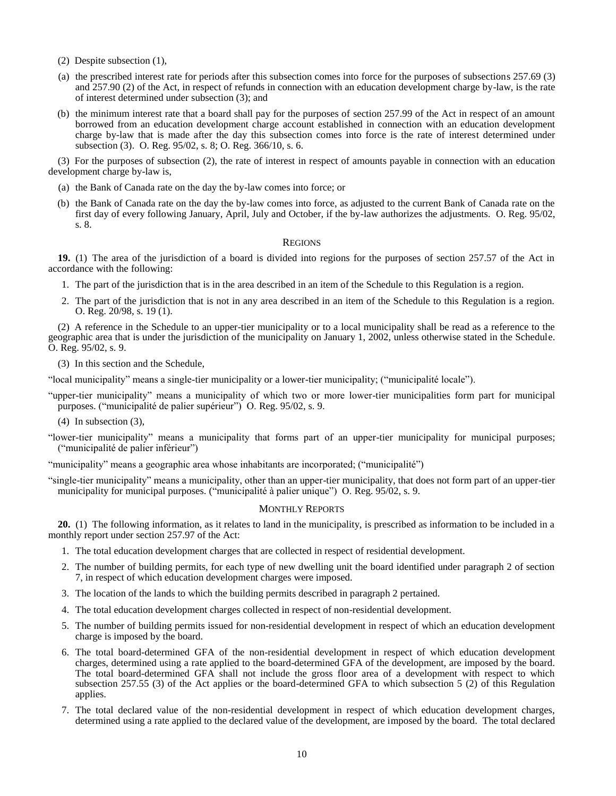- (2) Despite subsection (1),
- (a) the prescribed interest rate for periods after this subsection comes into force for the purposes of subsections 257.69 (3) and 257.90 (2) of the Act, in respect of refunds in connection with an education development charge by-law, is the rate of interest determined under subsection (3); and
- (b) the minimum interest rate that a board shall pay for the purposes of section 257.99 of the Act in respect of an amount borrowed from an education development charge account established in connection with an education development charge by-law that is made after the day this subsection comes into force is the rate of interest determined under subsection (3). O. Reg. 95/02, s. 8; O. Reg. 366/10, s. 6.

(3) For the purposes of subsection (2), the rate of interest in respect of amounts payable in connection with an education development charge by-law is,

- (a) the Bank of Canada rate on the day the by-law comes into force; or
- (b) the Bank of Canada rate on the day the by-law comes into force, as adjusted to the current Bank of Canada rate on the first day of every following January, April, July and October, if the by-law authorizes the adjustments. O. Reg. 95/02, s. 8.

#### **REGIONS**

<span id="page-11-0"></span>**19.** (1) The area of the jurisdiction of a board is divided into regions for the purposes of section 257.57 of the Act in accordance with the following:

- 1. The part of the jurisdiction that is in the area described in an item of the Schedule to this Regulation is a region.
- 2. The part of the jurisdiction that is not in any area described in an item of the Schedule to this Regulation is a region. O. Reg. 20/98, s. 19 (1).

(2) A reference in the Schedule to an upper-tier municipality or to a local municipality shall be read as a reference to the geographic area that is under the jurisdiction of the municipality on January 1, 2002, unless otherwise stated in the Schedule. O. Reg. 95/02, s. 9.

(3) In this section and the Schedule,

"local municipality" means a single-tier municipality or a lower-tier municipality; ("municipalité locale").

"upper-tier municipality" means a municipality of which two or more lower-tier municipalities form part for municipal purposes. ("municipalité de palier supérieur") O. Reg. 95/02, s. 9.

(4) In subsection (3),

"lower-tier municipality" means a municipality that forms part of an upper-tier municipality for municipal purposes; ("municipalité de palier inférieur")

"municipality" means a geographic area whose inhabitants are incorporated; ("municipalité")

<span id="page-11-1"></span>"single-tier municipality" means a municipality, other than an upper-tier municipality, that does not form part of an upper-tier municipality for municipal purposes. ("municipalité à palier unique") O. Reg. 95/02, s. 9.

#### MONTHLY REPORTS

**20.** (1) The following information, as it relates to land in the municipality, is prescribed as information to be included in a monthly report under section 257.97 of the Act:

- 1. The total education development charges that are collected in respect of residential development.
- 2. The number of building permits, for each type of new dwelling unit the board identified under paragraph 2 of section 7, in respect of which education development charges were imposed.
- 3. The location of the lands to which the building permits described in paragraph 2 pertained.
- 4. The total education development charges collected in respect of non-residential development.
- 5. The number of building permits issued for non-residential development in respect of which an education development charge is imposed by the board.
- 6. The total board-determined GFA of the non-residential development in respect of which education development charges, determined using a rate applied to the board-determined GFA of the development, are imposed by the board. The total board-determined GFA shall not include the gross floor area of a development with respect to which subsection 257.55 (3) of the Act applies or the board-determined GFA to which subsection 5 (2) of this Regulation applies.
- 7. The total declared value of the non-residential development in respect of which education development charges, determined using a rate applied to the declared value of the development, are imposed by the board. The total declared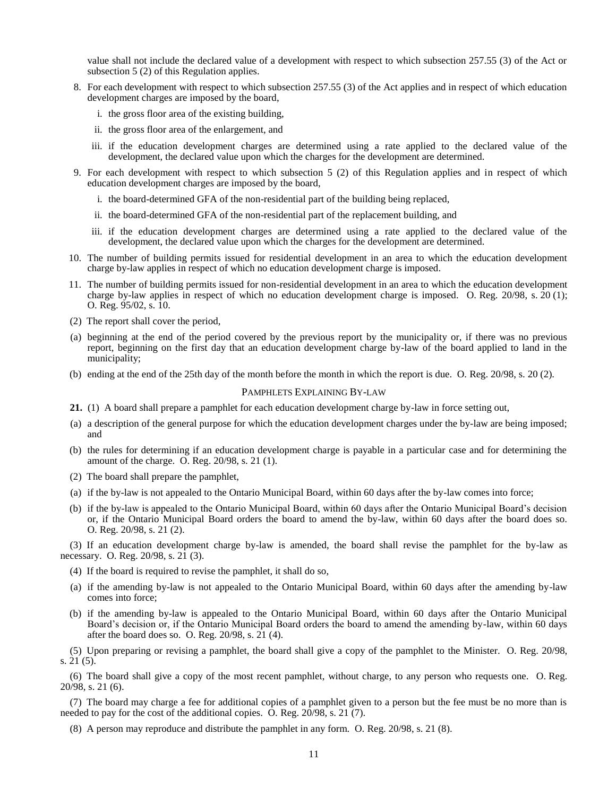value shall not include the declared value of a development with respect to which subsection 257.55 (3) of the Act or subsection 5 (2) of this Regulation applies.

- 8. For each development with respect to which subsection 257.55 (3) of the Act applies and in respect of which education development charges are imposed by the board,
	- i. the gross floor area of the existing building,
	- ii. the gross floor area of the enlargement, and
	- iii. if the education development charges are determined using a rate applied to the declared value of the development, the declared value upon which the charges for the development are determined.
- 9. For each development with respect to which subsection 5 (2) of this Regulation applies and in respect of which education development charges are imposed by the board,
	- i. the board-determined GFA of the non-residential part of the building being replaced,
	- ii. the board-determined GFA of the non-residential part of the replacement building, and
	- iii. if the education development charges are determined using a rate applied to the declared value of the development, the declared value upon which the charges for the development are determined.
- 10. The number of building permits issued for residential development in an area to which the education development charge by-law applies in respect of which no education development charge is imposed.
- 11. The number of building permits issued for non-residential development in an area to which the education development charge by-law applies in respect of which no education development charge is imposed. O. Reg. 20/98, s. 20 (1); O. Reg. 95/02, s. 10.
- (2) The report shall cover the period,
- (a) beginning at the end of the period covered by the previous report by the municipality or, if there was no previous report, beginning on the first day that an education development charge by-law of the board applied to land in the municipality;
- <span id="page-12-0"></span>(b) ending at the end of the 25th day of the month before the month in which the report is due. O. Reg. 20/98, s. 20 (2).

#### PAMPHLETS EXPLAINING BY-LAW

- **21.** (1) A board shall prepare a pamphlet for each education development charge by-law in force setting out,
- (a) a description of the general purpose for which the education development charges under the by-law are being imposed; and
- (b) the rules for determining if an education development charge is payable in a particular case and for determining the amount of the charge. O. Reg. 20/98, s. 21 (1).
- (2) The board shall prepare the pamphlet,
- (a) if the by-law is not appealed to the Ontario Municipal Board, within 60 days after the by-law comes into force;
- (b) if the by-law is appealed to the Ontario Municipal Board, within 60 days after the Ontario Municipal Board's decision or, if the Ontario Municipal Board orders the board to amend the by-law, within 60 days after the board does so. O. Reg. 20/98, s. 21 (2).

(3) If an education development charge by-law is amended, the board shall revise the pamphlet for the by-law as necessary. O. Reg. 20/98, s. 21 (3).

- (4) If the board is required to revise the pamphlet, it shall do so,
- (a) if the amending by-law is not appealed to the Ontario Municipal Board, within 60 days after the amending by-law comes into force;
- (b) if the amending by-law is appealed to the Ontario Municipal Board, within 60 days after the Ontario Municipal Board's decision or, if the Ontario Municipal Board orders the board to amend the amending by-law, within 60 days after the board does so. O. Reg. 20/98, s. 21 (4).

(5) Upon preparing or revising a pamphlet, the board shall give a copy of the pamphlet to the Minister. O. Reg. 20/98, s. 21 (5).

(6) The board shall give a copy of the most recent pamphlet, without charge, to any person who requests one. O. Reg. 20/98, s. 21 (6).

(7) The board may charge a fee for additional copies of a pamphlet given to a person but the fee must be no more than is needed to pay for the cost of the additional copies. O. Reg. 20/98, s. 21 (7).

(8) A person may reproduce and distribute the pamphlet in any form. O. Reg. 20/98, s. 21 (8).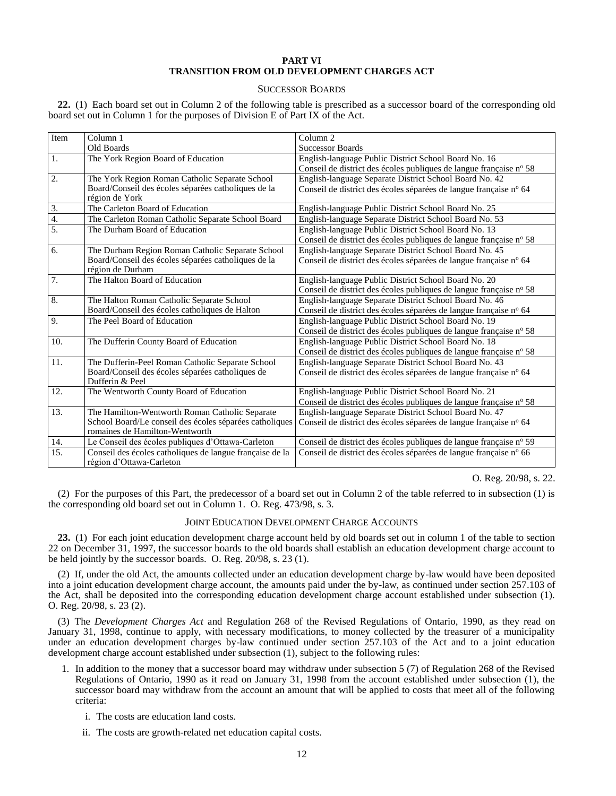### **PART VI TRANSITION FROM OLD DEVELOPMENT CHARGES ACT**

#### SUCCESSOR BOARDS

<span id="page-13-1"></span><span id="page-13-0"></span>**22.** (1) Each board set out in Column 2 of the following table is prescribed as a successor board of the corresponding old board set out in Column 1 for the purposes of Division E of Part IX of the Act.

| Item             | Column 1                                                                             | Column <sub>2</sub>                                                |  |
|------------------|--------------------------------------------------------------------------------------|--------------------------------------------------------------------|--|
|                  | Old Boards                                                                           | <b>Successor Boards</b>                                            |  |
| 1.               | The York Region Board of Education                                                   | English-language Public District School Board No. 16               |  |
|                  |                                                                                      | Conseil de district des écoles publiques de langue française nº 58 |  |
| 2.               | The York Region Roman Catholic Separate School                                       | English-language Separate District School Board No. 42             |  |
|                  | Board/Conseil des écoles séparées catholiques de la<br>région de York                | Conseil de district des écoles séparées de langue française nº 64  |  |
| 3.               | The Carleton Board of Education                                                      | English-language Public District School Board No. 25               |  |
| 4.               | The Carleton Roman Catholic Separate School Board                                    | English-language Separate District School Board No. 53             |  |
| $\overline{5}$ . | The Durham Board of Education                                                        | English-language Public District School Board No. 13               |  |
|                  |                                                                                      | Conseil de district des écoles publiques de langue française nº 58 |  |
| 6.               | The Durham Region Roman Catholic Separate School                                     | English-language Separate District School Board No. 45             |  |
|                  | Board/Conseil des écoles séparées catholiques de la                                  | Conseil de district des écoles séparées de langue française nº 64  |  |
|                  | région de Durham                                                                     |                                                                    |  |
| 7.               | The Halton Board of Education                                                        | English-language Public District School Board No. 20               |  |
|                  |                                                                                      | Conseil de district des écoles publiques de langue française nº 58 |  |
| 8.               | The Halton Roman Catholic Separate School                                            | English-language Separate District School Board No. 46             |  |
|                  | Board/Conseil des écoles catholiques de Halton                                       | Conseil de district des écoles séparées de langue française nº 64  |  |
| 9.               | The Peel Board of Education                                                          | English-language Public District School Board No. 19               |  |
|                  |                                                                                      | Conseil de district des écoles publiques de langue française nº 58 |  |
| 10.              | The Dufferin County Board of Education                                               | English-language Public District School Board No. 18               |  |
|                  |                                                                                      | Conseil de district des écoles publiques de langue française nº 58 |  |
| 11.              | The Dufferin-Peel Roman Catholic Separate School                                     | English-language Separate District School Board No. 43             |  |
|                  | Board/Conseil des écoles séparées catholiques de                                     | Conseil de district des écoles séparées de langue française nº 64  |  |
|                  | Dufferin & Peel                                                                      |                                                                    |  |
| 12.              | The Wentworth County Board of Education                                              | English-language Public District School Board No. 21               |  |
|                  |                                                                                      | Conseil de district des écoles publiques de langue française nº 58 |  |
| 13.              | The Hamilton-Wentworth Roman Catholic Separate                                       | English-language Separate District School Board No. 47             |  |
|                  | School Board/Le conseil des écoles séparées catholiques                              | Conseil de district des écoles séparées de langue française nº 64  |  |
|                  | romaines de Hamilton-Wentworth                                                       |                                                                    |  |
| 14.              | Le Conseil des écoles publiques d'Ottawa-Carleton                                    | Conseil de district des écoles publiques de langue française nº 59 |  |
| 15.              | Conseil des écoles catholiques de langue française de la<br>région d'Ottawa-Carleton | Conseil de district des écoles séparées de langue française nº 66  |  |

O. Reg. 20/98, s. 22.

<span id="page-13-2"></span>(2) For the purposes of this Part, the predecessor of a board set out in Column 2 of the table referred to in subsection (1) is the corresponding old board set out in Column 1. O. Reg. 473/98, s. 3.

#### JOINT EDUCATION DEVELOPMENT CHARGE ACCOUNTS

**23.** (1) For each joint education development charge account held by old boards set out in column 1 of the table to section 22 on December 31, 1997, the successor boards to the old boards shall establish an education development charge account to be held jointly by the successor boards. O. Reg. 20/98, s. 23 (1).

(2) If, under the old Act, the amounts collected under an education development charge by-law would have been deposited into a joint education development charge account, the amounts paid under the by-law, as continued under section 257.103 of the Act, shall be deposited into the corresponding education development charge account established under subsection (1). O. Reg. 20/98, s. 23 (2).

(3) The *Development Charges Act* and Regulation 268 of the Revised Regulations of Ontario, 1990, as they read on January 31, 1998, continue to apply, with necessary modifications, to money collected by the treasurer of a municipality under an education development charges by-law continued under section 257.103 of the Act and to a joint education development charge account established under subsection (1), subject to the following rules:

- 1. In addition to the money that a successor board may withdraw under subsection 5 (7) of Regulation 268 of the Revised Regulations of Ontario, 1990 as it read on January 31, 1998 from the account established under subsection (1), the successor board may withdraw from the account an amount that will be applied to costs that meet all of the following criteria:
	- i. The costs are education land costs.
	- ii. The costs are growth-related net education capital costs.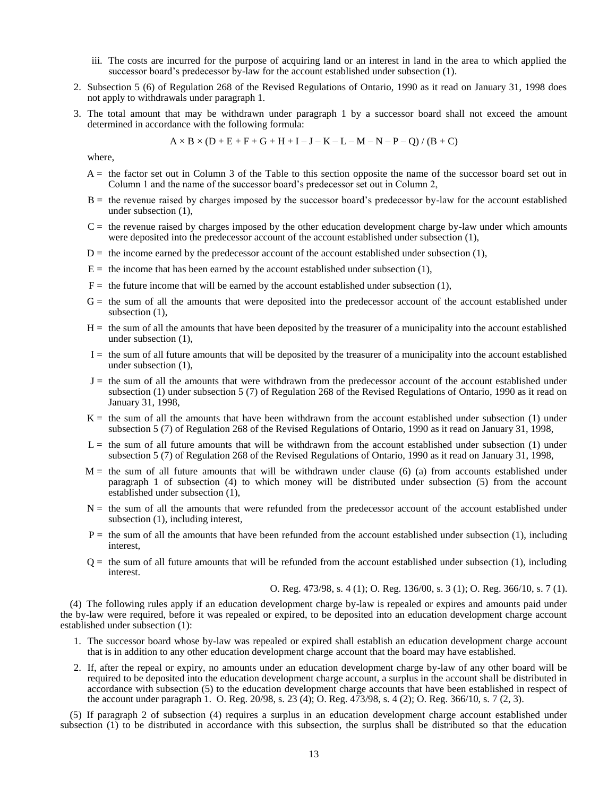- iii. The costs are incurred for the purpose of acquiring land or an interest in land in the area to which applied the successor board's predecessor by-law for the account established under subsection (1).
- 2. Subsection 5 (6) of Regulation 268 of the Revised Regulations of Ontario, 1990 as it read on January 31, 1998 does not apply to withdrawals under paragraph 1.
- 3. The total amount that may be withdrawn under paragraph 1 by a successor board shall not exceed the amount determined in accordance with the following formula:

$$
A \times B \times (D + E + F + G + H + I - J - K - L - M - N - P - Q) / (B + C)
$$

where,

- $A =$  the factor set out in Column 3 of the Table to this section opposite the name of the successor board set out in Column 1 and the name of the successor board's predecessor set out in Column 2,
- $B =$  the revenue raised by charges imposed by the successor board's predecessor by-law for the account established under subsection (1),
- $C =$  the revenue raised by charges imposed by the other education development charge by-law under which amounts were deposited into the predecessor account of the account established under subsection (1),
- $D =$  the income earned by the predecessor account of the account established under subsection (1),
- $E =$  the income that has been earned by the account established under subsection (1),
- $F =$  the future income that will be earned by the account established under subsection (1),
- $G =$  the sum of all the amounts that were deposited into the predecessor account of the account established under subsection  $(1)$ ,
- $H =$  the sum of all the amounts that have been deposited by the treasurer of a municipality into the account established under subsection (1),
- $I =$  the sum of all future amounts that will be deposited by the treasurer of a municipality into the account established under subsection (1),
- J = the sum of all the amounts that were withdrawn from the predecessor account of the account established under subsection (1) under subsection 5 (7) of Regulation 268 of the Revised Regulations of Ontario, 1990 as it read on January 31, 1998,
- $K =$  the sum of all the amounts that have been withdrawn from the account established under subsection (1) under subsection 5 (7) of Regulation 268 of the Revised Regulations of Ontario, 1990 as it read on January 31, 1998,
- $L =$  the sum of all future amounts that will be withdrawn from the account established under subsection (1) under subsection 5 (7) of Regulation 268 of the Revised Regulations of Ontario, 1990 as it read on January 31, 1998,
- $M =$  the sum of all future amounts that will be withdrawn under clause (6) (a) from accounts established under paragraph 1 of subsection (4) to which money will be distributed under subsection (5) from the account established under subsection (1),
- N = the sum of all the amounts that were refunded from the predecessor account of the account established under subsection (1), including interest,
- $P =$  the sum of all the amounts that have been refunded from the account established under subsection  $(1)$ , including interest,
- $Q =$  the sum of all future amounts that will be refunded from the account established under subsection  $(1)$ , including interest.

O. Reg. 473/98, s. 4 (1); O. Reg. 136/00, s. 3 (1); O. Reg. 366/10, s. 7 (1).

(4) The following rules apply if an education development charge by-law is repealed or expires and amounts paid under the by-law were required, before it was repealed or expired, to be deposited into an education development charge account established under subsection (1):

- 1. The successor board whose by-law was repealed or expired shall establish an education development charge account that is in addition to any other education development charge account that the board may have established.
- 2. If, after the repeal or expiry, no amounts under an education development charge by-law of any other board will be required to be deposited into the education development charge account, a surplus in the account shall be distributed in accordance with subsection (5) to the education development charge accounts that have been established in respect of the account under paragraph 1. O. Reg. 20/98, s. 23 (4); O. Reg. 473/98, s. 4 (2); O. Reg. 366/10, s. 7 (2, 3).

(5) If paragraph 2 of subsection (4) requires a surplus in an education development charge account established under subsection (1) to be distributed in accordance with this subsection, the surplus shall be distributed so that the education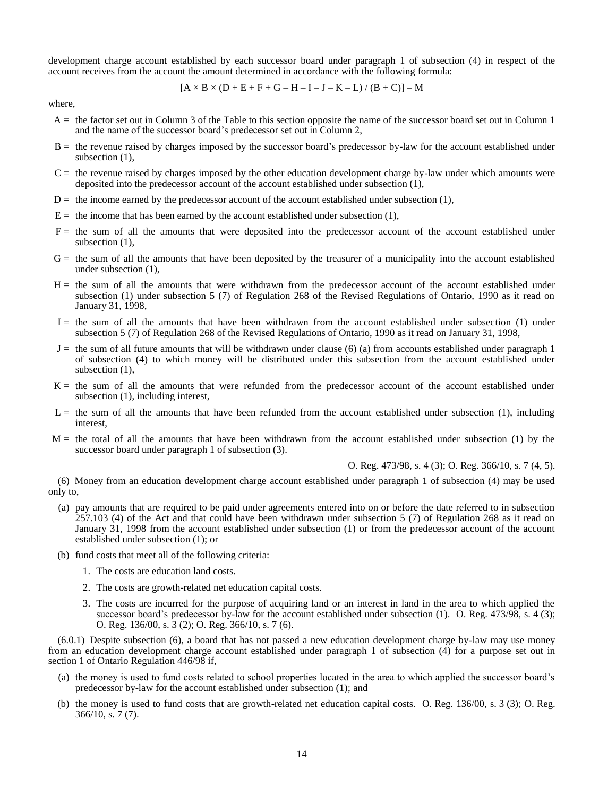development charge account established by each successor board under paragraph 1 of subsection (4) in respect of the account receives from the account the amount determined in accordance with the following formula:

$$
[A \times B \times (D + E + F + G - H - I - J - K - L) / (B + C)] - M
$$

where,

- $A =$  the factor set out in Column 3 of the Table to this section opposite the name of the successor board set out in Column 1 and the name of the successor board's predecessor set out in Column 2,
- B = the revenue raised by charges imposed by the successor board's predecessor by-law for the account established under subsection (1),
- $C =$  the revenue raised by charges imposed by the other education development charge by-law under which amounts were deposited into the predecessor account of the account established under subsection (1),
- $D =$  the income earned by the predecessor account of the account established under subsection  $(1)$ ,
- $E =$  the income that has been earned by the account established under subsection (1),
- F = the sum of all the amounts that were deposited into the predecessor account of the account established under subsection (1),
- $G =$  the sum of all the amounts that have been deposited by the treasurer of a municipality into the account established under subsection (1),
- H = the sum of all the amounts that were withdrawn from the predecessor account of the account established under subsection (1) under subsection 5 (7) of Regulation 268 of the Revised Regulations of Ontario, 1990 as it read on January 31, 1998,
- $I =$  the sum of all the amounts that have been withdrawn from the account established under subsection (1) under subsection 5 (7) of Regulation 268 of the Revised Regulations of Ontario, 1990 as it read on January 31, 1998,
- $J =$  the sum of all future amounts that will be withdrawn under clause (6) (a) from accounts established under paragraph 1 of subsection (4) to which money will be distributed under this subsection from the account established under subsection (1),
- K = the sum of all the amounts that were refunded from the predecessor account of the account established under subsection (1), including interest,
- $L =$  the sum of all the amounts that have been refunded from the account established under subsection (1), including interest,
- $M =$  the total of all the amounts that have been withdrawn from the account established under subsection (1) by the successor board under paragraph 1 of subsection (3).

O. Reg. 473/98, s. 4 (3); O. Reg. 366/10, s. 7 (4, 5).

(6) Money from an education development charge account established under paragraph 1 of subsection (4) may be used only to,

- (a) pay amounts that are required to be paid under agreements entered into on or before the date referred to in subsection 257.103 (4) of the Act and that could have been withdrawn under subsection 5 (7) of Regulation 268 as it read on January 31, 1998 from the account established under subsection (1) or from the predecessor account of the account established under subsection (1); or
- (b) fund costs that meet all of the following criteria:
	- 1. The costs are education land costs.
	- 2. The costs are growth-related net education capital costs.
	- 3. The costs are incurred for the purpose of acquiring land or an interest in land in the area to which applied the successor board's predecessor by-law for the account established under subsection (1). O. Reg.  $473/98$ , s.  $4$  (3); O. Reg. 136/00, s. 3 (2); O. Reg. 366/10, s. 7 (6).

(6.0.1) Despite subsection (6), a board that has not passed a new education development charge by-law may use money from an education development charge account established under paragraph 1 of subsection (4) for a purpose set out in section 1 of Ontario Regulation 446/98 if,

- (a) the money is used to fund costs related to school properties located in the area to which applied the successor board's predecessor by-law for the account established under subsection (1); and
- (b) the money is used to fund costs that are growth-related net education capital costs. O. Reg. 136/00, s. 3 (3); O. Reg. 366/10, s. 7 (7).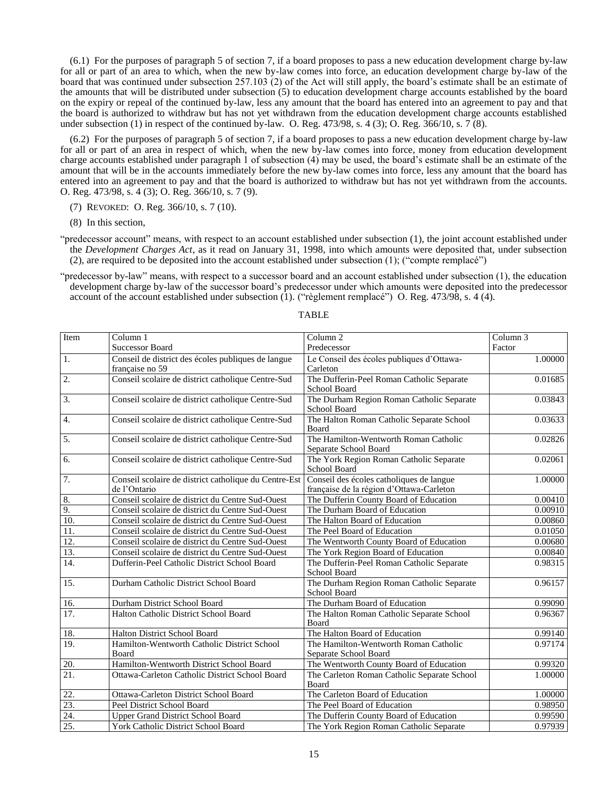(6.1) For the purposes of paragraph 5 of section 7, if a board proposes to pass a new education development charge by-law for all or part of an area to which, when the new by-law comes into force, an education development charge by-law of the board that was continued under subsection 257.103 (2) of the Act will still apply, the board's estimate shall be an estimate of the amounts that will be distributed under subsection (5) to education development charge accounts established by the board on the expiry or repeal of the continued by-law, less any amount that the board has entered into an agreement to pay and that the board is authorized to withdraw but has not yet withdrawn from the education development charge accounts established under subsection (1) in respect of the continued by-law. O. Reg.  $473/98$ , s.  $4(3)$ ; O. Reg.  $366/10$ , s.  $7(8)$ .

(6.2) For the purposes of paragraph 5 of section 7, if a board proposes to pass a new education development charge by-law for all or part of an area in respect of which, when the new by-law comes into force, money from education development charge accounts established under paragraph 1 of subsection (4) may be used, the board's estimate shall be an estimate of the amount that will be in the accounts immediately before the new by-law comes into force, less any amount that the board has entered into an agreement to pay and that the board is authorized to withdraw but has not yet withdrawn from the accounts. O. Reg. 473/98, s. 4 (3); O. Reg. 366/10, s. 7 (9).

(7) REVOKED: O. Reg. 366/10, s. 7 (10).

(8) In this section,

"predecessor account" means, with respect to an account established under subsection (1), the joint account established under the *Development Charges Act*, as it read on January 31, 1998, into which amounts were deposited that, under subsection (2), are required to be deposited into the account established under subsection (1); ("compte remplacé")

"predecessor by-law" means, with respect to a successor board and an account established under subsection (1), the education development charge by-law of the successor board's predecessor under which amounts were deposited into the predecessor account of the account established under subsection (1). ("règlement remplacé") O. Reg. 473/98, s. 4 (4).

| Item             | Column 1                                                              | Column <sub>2</sub>                                                                  | $\overline{\text{Column}}$ 3 |
|------------------|-----------------------------------------------------------------------|--------------------------------------------------------------------------------------|------------------------------|
|                  | <b>Successor Board</b>                                                | Predecessor                                                                          | Factor                       |
| 1.               | Conseil de district des écoles publiques de langue<br>française no 59 | Le Conseil des écoles publiques d'Ottawa-<br>Carleton                                | 1.00000                      |
| $\overline{2}$ . | Conseil scolaire de district catholique Centre-Sud                    | The Dufferin-Peel Roman Catholic Separate<br>School Board                            | 0.01685                      |
| 3.               | Conseil scolaire de district catholique Centre-Sud                    | The Durham Region Roman Catholic Separate<br>School Board                            | 0.03843                      |
| 4.               | Conseil scolaire de district catholique Centre-Sud                    | The Halton Roman Catholic Separate School<br>Board                                   | 0.03633                      |
| 5.               | Conseil scolaire de district catholique Centre-Sud                    | The Hamilton-Wentworth Roman Catholic<br>Separate School Board                       | 0.02826                      |
| 6.               | Conseil scolaire de district catholique Centre-Sud                    | The York Region Roman Catholic Separate<br>School Board                              | 0.02061                      |
| $\overline{7}$ . | Conseil scolaire de district catholique du Centre-Est<br>de l'Ontario | Conseil des écoles catholiques de langue<br>française de la région d'Ottawa-Carleton | 1.00000                      |
| 8.               | Conseil scolaire de district du Centre Sud-Ouest                      | The Dufferin County Board of Education                                               | 0.00410                      |
| 9.               | Conseil scolaire de district du Centre Sud-Ouest                      | The Durham Board of Education                                                        | 0.00910                      |
| $\overline{10}$  | Conseil scolaire de district du Centre Sud-Ouest                      | The Halton Board of Education                                                        | 0.00860                      |
| 11.              | Conseil scolaire de district du Centre Sud-Ouest                      | The Peel Board of Education                                                          | 0.01050                      |
| 12.              | Conseil scolaire de district du Centre Sud-Ouest                      | The Wentworth County Board of Education                                              | 0.00680                      |
| 13.              | Conseil scolaire de district du Centre Sud-Ouest                      | The York Region Board of Education                                                   | 0.00840                      |
| 14.              | Dufferin-Peel Catholic District School Board                          | The Dufferin-Peel Roman Catholic Separate<br>School Board                            | 0.98315                      |
| 15.              | Durham Catholic District School Board                                 | The Durham Region Roman Catholic Separate<br><b>School Board</b>                     | 0.96157                      |
| 16.              | Durham District School Board                                          | The Durham Board of Education                                                        | 0.99090                      |
| 17.              | Halton Catholic District School Board                                 | The Halton Roman Catholic Separate School<br><b>Board</b>                            | 0.96367                      |
| 18.              | Halton District School Board                                          | The Halton Board of Education                                                        | 0.99140                      |
| 19.              | Hamilton-Wentworth Catholic District School<br>Board                  | The Hamilton-Wentworth Roman Catholic<br>Separate School Board                       | 0.97174                      |
| 20.              | Hamilton-Wentworth District School Board                              | The Wentworth County Board of Education                                              | 0.99320                      |
| 21.              | Ottawa-Carleton Catholic District School Board                        | The Carleton Roman Catholic Separate School<br>Board                                 | 1.00000                      |
| 22.              | Ottawa-Carleton District School Board                                 | The Carleton Board of Education                                                      | 1.00000                      |
| 23.              | Peel District School Board                                            | The Peel Board of Education                                                          | 0.98950                      |
| 24.              | Upper Grand District School Board                                     | The Dufferin County Board of Education                                               | 0.99590                      |
| 25.              | York Catholic District School Board                                   | The York Region Roman Catholic Separate                                              | 0.97939                      |

### TABLE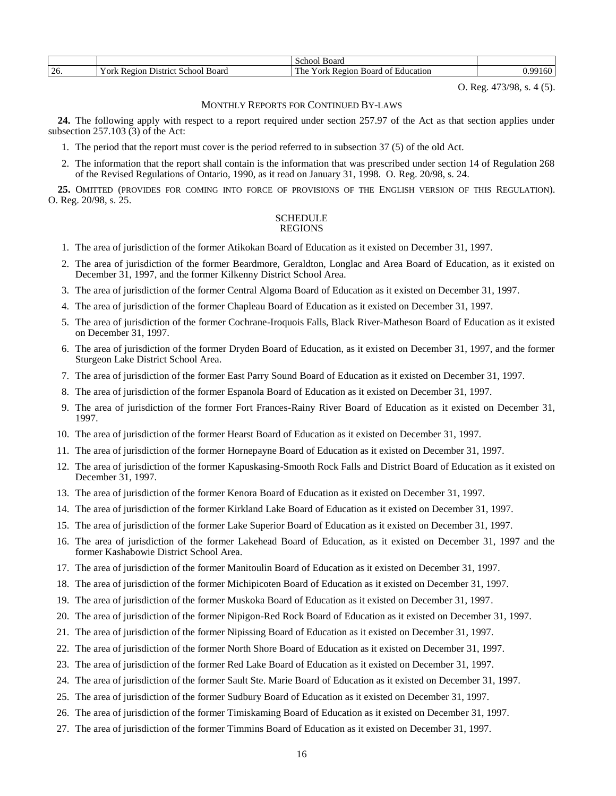|          |                                               | Board<br>School                                                                      |       |
|----------|-----------------------------------------------|--------------------------------------------------------------------------------------|-------|
| ∼<br>26. | ⊻ork<br>Board<br>School<br>Region<br>District | $\overline{\phantom{a}}$<br>'egion<br>r he<br>education<br>'ork<br>Board<br>m<br>n t | 160 L |

O. Reg. 473/98, s. 4 (5).

### MONTHLY REPORTS FOR CONTINUED BY-LAWS

<span id="page-17-0"></span>**24.** The following apply with respect to a report required under section 257.97 of the Act as that section applies under subsection 257.103 (3) of the Act:

- 1. The period that the report must cover is the period referred to in subsection 37 (5) of the old Act.
- 2. The information that the report shall contain is the information that was prescribed under section 14 of Regulation 268 of the Revised Regulations of Ontario, 1990, as it read on January 31, 1998. O. Reg. 20/98, s. 24.

<span id="page-17-1"></span>**25.** OMITTED (PROVIDES FOR COMING INTO FORCE OF PROVISIONS OF THE ENGLISH VERSION OF THIS REGULATION). O. Reg. 20/98, s. 25.

#### SCHEDULE REGIONS

- 1. The area of jurisdiction of the former Atikokan Board of Education as it existed on December 31, 1997.
- 2. The area of jurisdiction of the former Beardmore, Geraldton, Longlac and Area Board of Education, as it existed on December 31, 1997, and the former Kilkenny District School Area.
- 3. The area of jurisdiction of the former Central Algoma Board of Education as it existed on December 31, 1997.
- 4. The area of jurisdiction of the former Chapleau Board of Education as it existed on December 31, 1997.
- 5. The area of jurisdiction of the former Cochrane-Iroquois Falls, Black River-Matheson Board of Education as it existed on December 31, 1997.
- 6. The area of jurisdiction of the former Dryden Board of Education, as it existed on December 31, 1997, and the former Sturgeon Lake District School Area.
- 7. The area of jurisdiction of the former East Parry Sound Board of Education as it existed on December 31, 1997.
- 8. The area of jurisdiction of the former Espanola Board of Education as it existed on December 31, 1997.
- 9. The area of jurisdiction of the former Fort Frances-Rainy River Board of Education as it existed on December 31, 1997.
- 10. The area of jurisdiction of the former Hearst Board of Education as it existed on December 31, 1997.
- 11. The area of jurisdiction of the former Hornepayne Board of Education as it existed on December 31, 1997.
- 12. The area of jurisdiction of the former Kapuskasing-Smooth Rock Falls and District Board of Education as it existed on December 31, 1997.
- 13. The area of jurisdiction of the former Kenora Board of Education as it existed on December 31, 1997.
- 14. The area of jurisdiction of the former Kirkland Lake Board of Education as it existed on December 31, 1997.
- 15. The area of jurisdiction of the former Lake Superior Board of Education as it existed on December 31, 1997.
- 16. The area of jurisdiction of the former Lakehead Board of Education, as it existed on December 31, 1997 and the former Kashabowie District School Area.
- 17. The area of jurisdiction of the former Manitoulin Board of Education as it existed on December 31, 1997.
- 18. The area of jurisdiction of the former Michipicoten Board of Education as it existed on December 31, 1997.
- 19. The area of jurisdiction of the former Muskoka Board of Education as it existed on December 31, 1997.
- 20. The area of jurisdiction of the former Nipigon-Red Rock Board of Education as it existed on December 31, 1997.
- 21. The area of jurisdiction of the former Nipissing Board of Education as it existed on December 31, 1997.
- 22. The area of jurisdiction of the former North Shore Board of Education as it existed on December 31, 1997.
- 23. The area of jurisdiction of the former Red Lake Board of Education as it existed on December 31, 1997.
- 24. The area of jurisdiction of the former Sault Ste. Marie Board of Education as it existed on December 31, 1997.
- 25. The area of jurisdiction of the former Sudbury Board of Education as it existed on December 31, 1997.
- 26. The area of jurisdiction of the former Timiskaming Board of Education as it existed on December 31, 1997.
- 27. The area of jurisdiction of the former Timmins Board of Education as it existed on December 31, 1997.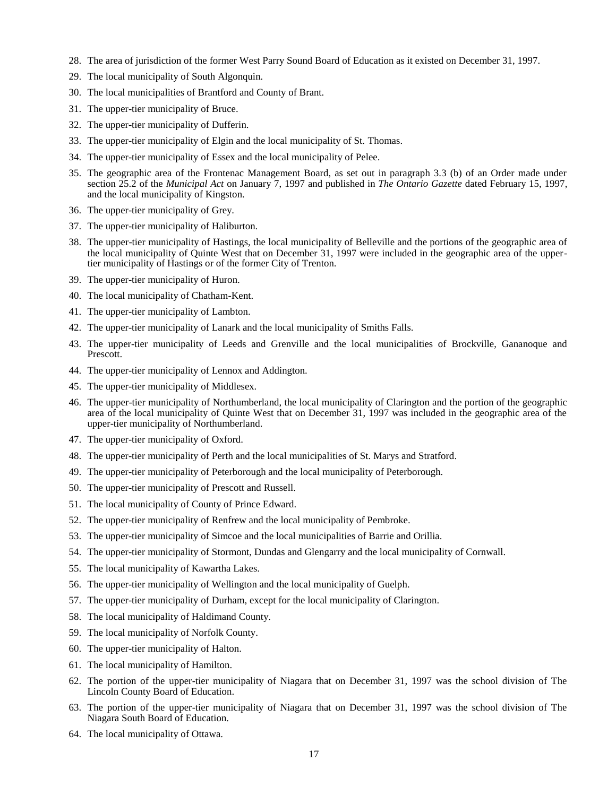- 28. The area of jurisdiction of the former West Parry Sound Board of Education as it existed on December 31, 1997.
- 29. The local municipality of South Algonquin.
- 30. The local municipalities of Brantford and County of Brant.
- 31. The upper-tier municipality of Bruce.
- 32. The upper-tier municipality of Dufferin.
- 33. The upper-tier municipality of Elgin and the local municipality of St. Thomas.
- 34. The upper-tier municipality of Essex and the local municipality of Pelee.
- 35. The geographic area of the Frontenac Management Board, as set out in paragraph 3.3 (b) of an Order made under section 25.2 of the *Municipal Act* on January 7, 1997 and published in *The Ontario Gazette* dated February 15, 1997, and the local municipality of Kingston.
- 36. The upper-tier municipality of Grey.
- 37. The upper-tier municipality of Haliburton.
- 38. The upper-tier municipality of Hastings, the local municipality of Belleville and the portions of the geographic area of the local municipality of Quinte West that on December 31, 1997 were included in the geographic area of the uppertier municipality of Hastings or of the former City of Trenton.
- 39. The upper-tier municipality of Huron.
- 40. The local municipality of Chatham-Kent.
- 41. The upper-tier municipality of Lambton.
- 42. The upper-tier municipality of Lanark and the local municipality of Smiths Falls.
- 43. The upper-tier municipality of Leeds and Grenville and the local municipalities of Brockville, Gananoque and Prescott.
- 44. The upper-tier municipality of Lennox and Addington.
- 45. The upper-tier municipality of Middlesex.
- 46. The upper-tier municipality of Northumberland, the local municipality of Clarington and the portion of the geographic area of the local municipality of Quinte West that on December 31, 1997 was included in the geographic area of the upper-tier municipality of Northumberland.
- 47. The upper-tier municipality of Oxford.
- 48. The upper-tier municipality of Perth and the local municipalities of St. Marys and Stratford.
- 49. The upper-tier municipality of Peterborough and the local municipality of Peterborough.
- 50. The upper-tier municipality of Prescott and Russell.
- 51. The local municipality of County of Prince Edward.
- 52. The upper-tier municipality of Renfrew and the local municipality of Pembroke.
- 53. The upper-tier municipality of Simcoe and the local municipalities of Barrie and Orillia.
- 54. The upper-tier municipality of Stormont, Dundas and Glengarry and the local municipality of Cornwall.
- 55. The local municipality of Kawartha Lakes.
- 56. The upper-tier municipality of Wellington and the local municipality of Guelph.
- 57. The upper-tier municipality of Durham, except for the local municipality of Clarington.
- 58. The local municipality of Haldimand County.
- 59. The local municipality of Norfolk County.
- 60. The upper-tier municipality of Halton.
- 61. The local municipality of Hamilton.
- 62. The portion of the upper-tier municipality of Niagara that on December 31, 1997 was the school division of The Lincoln County Board of Education.
- 63. The portion of the upper-tier municipality of Niagara that on December 31, 1997 was the school division of The Niagara South Board of Education.
- 64. The local municipality of Ottawa.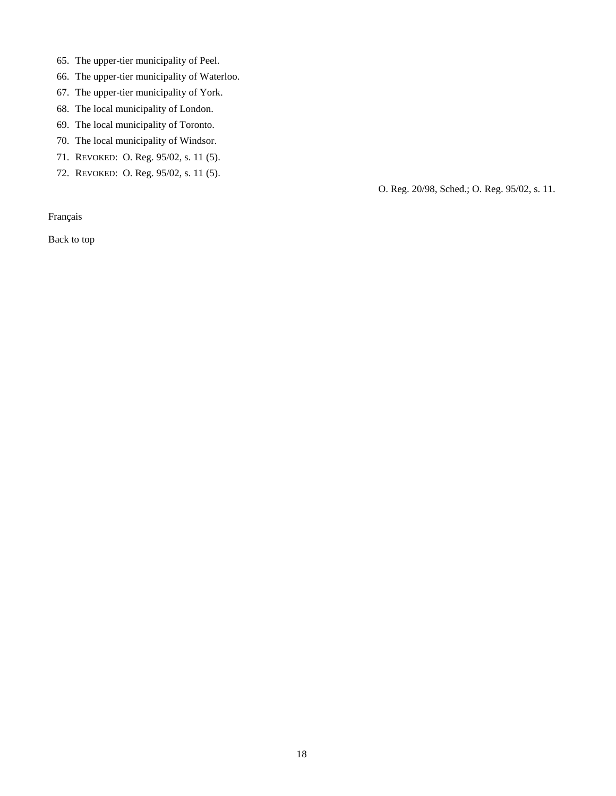- 65. The upper-tier municipality of Peel.
- 66. The upper-tier municipality of Waterloo.
- 67. The upper-tier municipality of York.
- 68. The local municipality of London.
- 69. The local municipality of Toronto.
- 70. The local municipality of Windsor.
- 71. REVOKED: O. Reg. 95/02, s. 11 (5).
- 72. REVOKED: O. Reg. 95/02, s. 11 (5).

O. Reg. 20/98, Sched.; O. Reg. 95/02, s. 11.

[Français](http://www.ontario.ca/fr/lois/reglement/980020)

[Back to top](#page-2-2)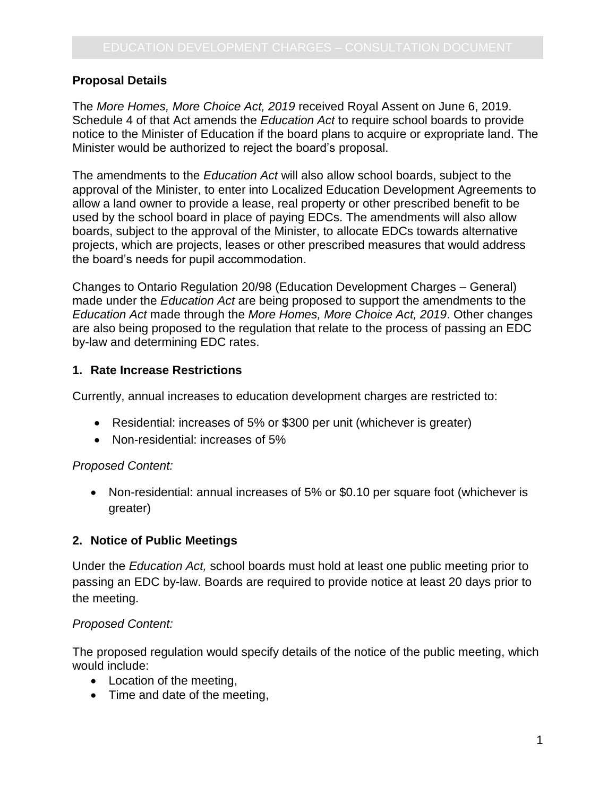## **Proposal Details**

The *More Homes, More Choice Act, 2019* received Royal Assent on June 6, 2019. Schedule 4 of that Act amends the *Education Act* to require school boards to provide notice to the Minister of Education if the board plans to acquire or expropriate land. The Minister would be authorized to reject the board's proposal.

The amendments to the *Education Act* will also allow school boards, subject to the approval of the Minister, to enter into Localized Education Development Agreements to allow a land owner to provide a lease, real property or other prescribed benefit to be used by the school board in place of paying EDCs. The amendments will also allow boards, subject to the approval of the Minister, to allocate EDCs towards alternative projects, which are projects, leases or other prescribed measures that would address the board's needs for pupil accommodation.

Changes to Ontario Regulation 20/98 (Education Development Charges – General) made under the *Education Act* are being proposed to support the amendments to the *Education Act* made through the *More Homes, More Choice Act, 2019*. Other changes are also being proposed to the regulation that relate to the process of passing an EDC by-law and determining EDC rates.

## **1. Rate Increase Restrictions**

Currently, annual increases to education development charges are restricted to:

- Residential: increases of 5% or \$300 per unit (whichever is greater)
- Non-residential: increases of 5%

## *Proposed Content:*

 Non-residential: annual increases of 5% or \$0.10 per square foot (whichever is greater)

## **2. Notice of Public Meetings**

Under the *Education Act,* school boards must hold at least one public meeting prior to passing an EDC by-law. Boards are required to provide notice at least 20 days prior to the meeting.

## *Proposed Content:*

The proposed regulation would specify details of the notice of the public meeting, which would include:

- Location of the meeting,
- Time and date of the meeting,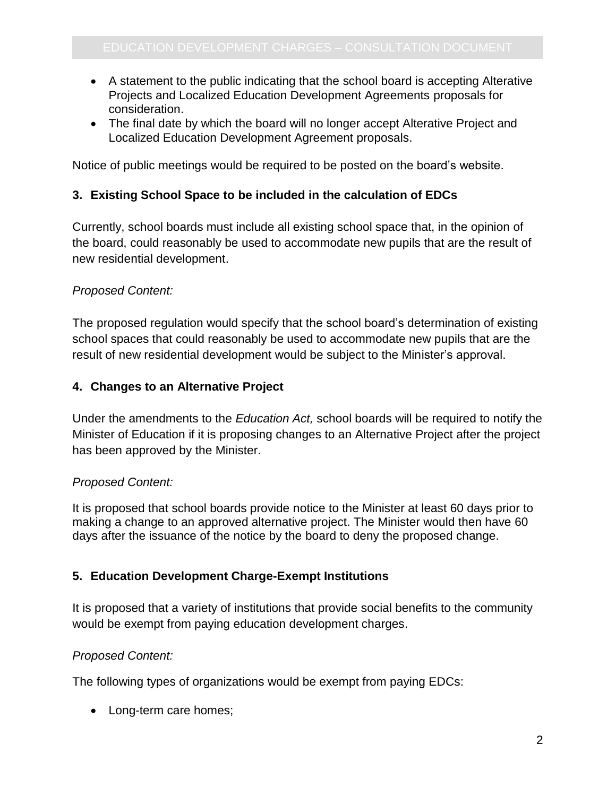- A statement to the public indicating that the school board is accepting Alterative Projects and Localized Education Development Agreements proposals for consideration.
- The final date by which the board will no longer accept Alterative Project and Localized Education Development Agreement proposals.

Notice of public meetings would be required to be posted on the board's website.

# **3. Existing School Space to be included in the calculation of EDCs**

Currently, school boards must include all existing school space that, in the opinion of the board, could reasonably be used to accommodate new pupils that are the result of new residential development.

# *Proposed Content:*

The proposed regulation would specify that the school board's determination of existing school spaces that could reasonably be used to accommodate new pupils that are the result of new residential development would be subject to the Minister's approval.

# **4. Changes to an Alternative Project**

Under the amendments to the *Education Act,* school boards will be required to notify the Minister of Education if it is proposing changes to an Alternative Project after the project has been approved by the Minister.

## *Proposed Content:*

It is proposed that school boards provide notice to the Minister at least 60 days prior to making a change to an approved alternative project. The Minister would then have 60 days after the issuance of the notice by the board to deny the proposed change.

# **5. Education Development Charge-Exempt Institutions**

It is proposed that a variety of institutions that provide social benefits to the community would be exempt from paying education development charges.

## *Proposed Content:*

The following types of organizations would be exempt from paying EDCs:

• Long-term care homes;